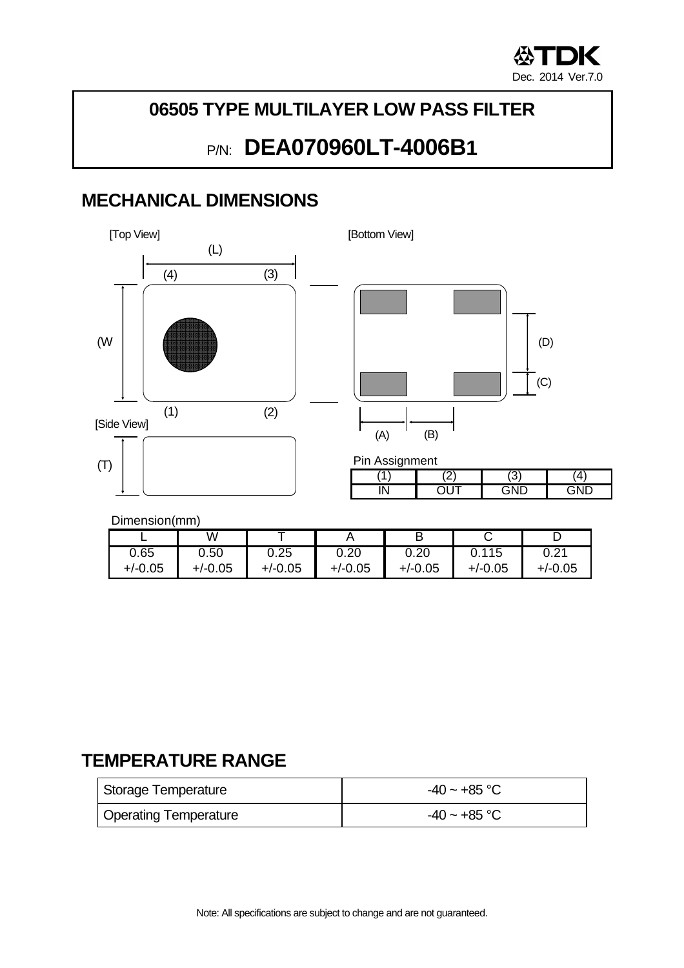

#### **06505 TYPE MULTILAYER LOW PASS FILTER**

# P/N: **DEA070960LT-4006B1**

### **MECHANICAL DIMENSIONS**





| Pin Assignment |  |  |  |  |  |
|----------------|--|--|--|--|--|
|                |  |  |  |  |  |
|                |  |  |  |  |  |

#### Dimension(mm)

|           | W         |           |           |           |           |                              |
|-----------|-----------|-----------|-----------|-----------|-----------|------------------------------|
| 0.65      | 0.50      | 0.25      | 0.20      | 0.20      | 0.115     | ∩ າ∢<br>$\cup$ . $\subset$ . |
| $+/-0.05$ | $+/-0.05$ | $+/-0.05$ | $+/-0.05$ | $+/-0.05$ | $+/-0.05$ | $+/-0.05$                    |

### **TEMPERATURE RANGE**

| ' Storage Temperature | $-40 \sim +85$ °C |
|-----------------------|-------------------|
| Operating Temperature | $-40 \sim +85$ °C |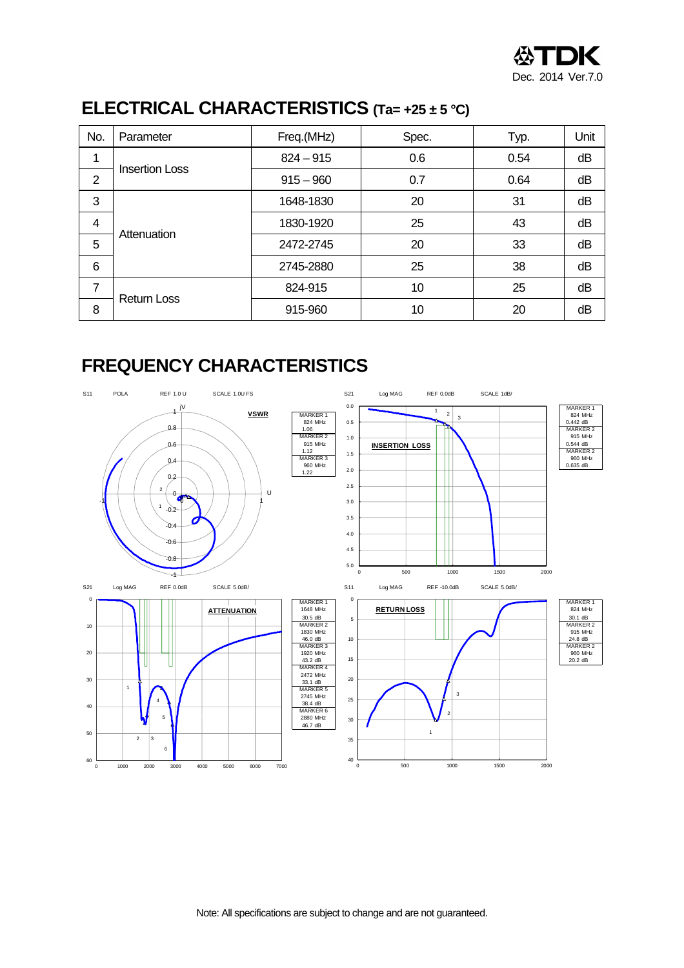

## **ELECTRICAL CHARACTERISTICS (Ta= +25 ± 5 °C)**

| No.            | Parameter             | Freq.(MHz)  | Spec. | Typ. | Unit |
|----------------|-----------------------|-------------|-------|------|------|
| 1              |                       | $824 - 915$ | 0.6   | 0.54 | dB   |
| $\overline{2}$ | <b>Insertion Loss</b> | $915 - 960$ | 0.7   | 0.64 | dB   |
| 3              |                       | 1648-1830   | 20    | 31   | dB   |
| $\overline{4}$ | Attenuation<br>5<br>6 | 1830-1920   | 25    | 43   | dB   |
|                |                       | 2472-2745   | 20    | 33   | dB   |
|                |                       | 2745-2880   | 25    | 38   | dB   |
| $\overline{7}$ |                       | 824-915     | 10    | 25   | dB   |
| 8              | <b>Return Loss</b>    | 915-960     | 10    | 20   | dB   |

#### **FREQUENCY CHARACTERISTICS**

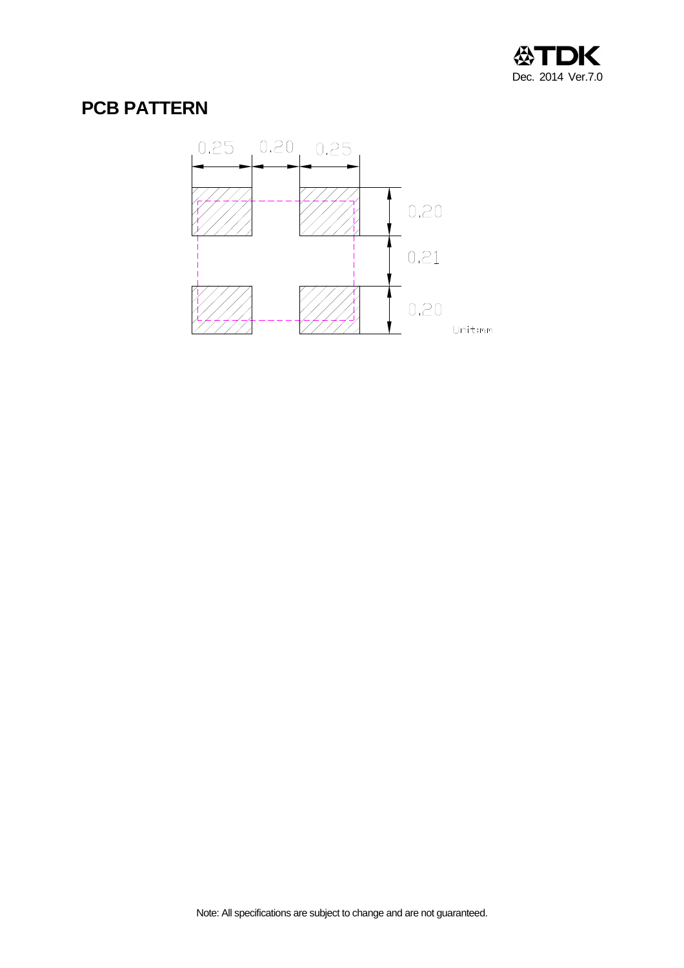

## **PCB PATTERN**